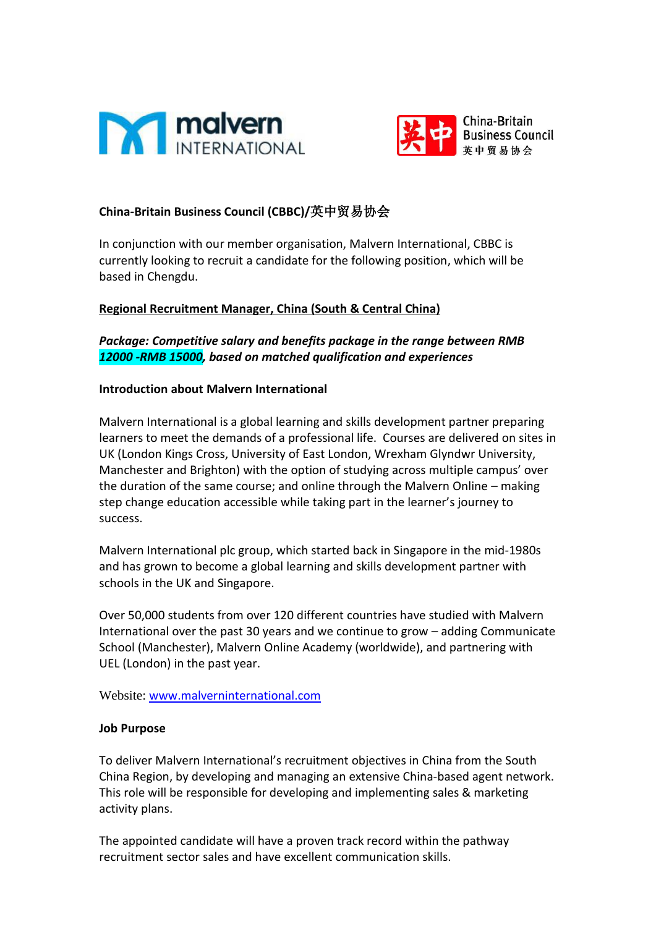



# **China-Britain Business Council (CBBC)/**英中贸易协会

In conjunction with our member organisation, Malvern International, CBBC is currently looking to recruit a candidate for the following position, which will be based in Chengdu.

### **Regional Recruitment Manager, China (South & Central China)**

*Package: Competitive salary and benefits package in the range between RMB 12000 -RMB 15000, based on matched qualification and experiences*

#### **Introduction about Malvern International**

Malvern International is a global learning and skills development partner preparing learners to meet the demands of a professional life. Courses are delivered on sites in UK (London Kings Cross, University of East London, Wrexham Glyndwr University, Manchester and Brighton) with the option of studying across multiple campus' over the duration of the same course; and online through the Malvern Online – making step change education accessible while taking part in the learner's journey to success.

Malvern International plc group, which started back in Singapore in the mid-1980s and has grown to become a global learning and skills development partner with schools in the UK and Singapore.

Over 50,000 students from over 120 different countries have studied with Malvern International over the past 30 years and we continue to grow – adding Communicate School (Manchester), Malvern Online Academy (worldwide), and partnering with UEL (London) in the past year.

[Website:](https://aposave.com/en/) [www.malverninternational.com](http://www.malverninternational.com/)

### **Job Purpose**

To deliver Malvern International's recruitment objectives in China from the South China Region, by developing and managing an extensive China-based agent network. This role will be responsible for developing and implementing sales & marketing activity plans.

The appointed candidate will have a proven track record within the pathway recruitment sector sales and have excellent communication skills.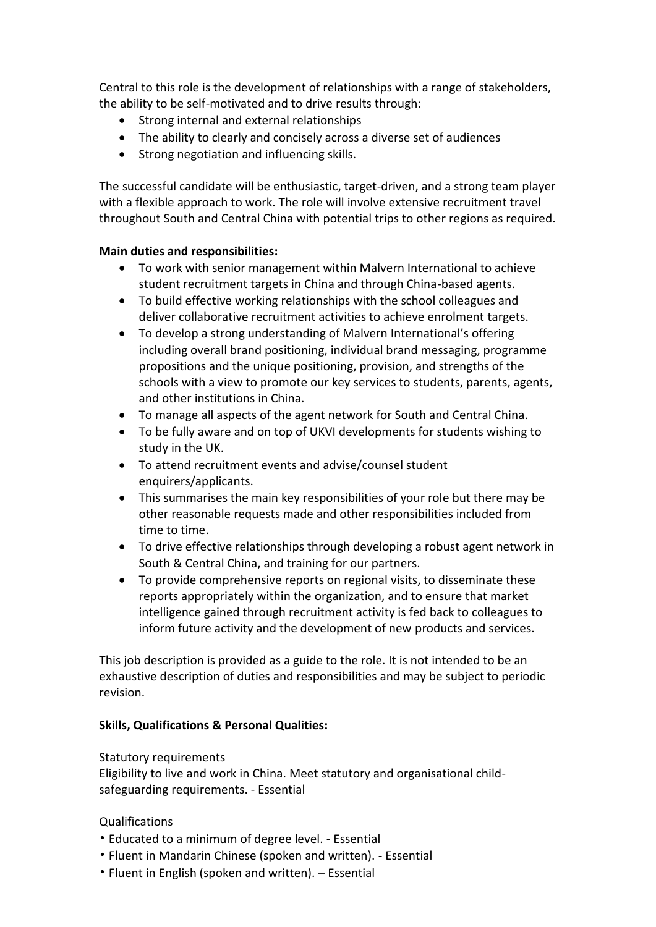Central to this role is the development of relationships with a range of stakeholders, the ability to be self-motivated and to drive results through:

- Strong internal and external relationships
- The ability to clearly and concisely across a diverse set of audiences
- Strong negotiation and influencing skills.

The successful candidate will be enthusiastic, target-driven, and a strong team player with a flexible approach to work. The role will involve extensive recruitment travel throughout South and Central China with potential trips to other regions as required.

### **Main duties and responsibilities:**

- To work with senior management within Malvern International to achieve student recruitment targets in China and through China-based agents.
- To build effective working relationships with the school colleagues and deliver collaborative recruitment activities to achieve enrolment targets.
- To develop a strong understanding of Malvern International's offering including overall brand positioning, individual brand messaging, programme propositions and the unique positioning, provision, and strengths of the schools with a view to promote our key services to students, parents, agents, and other institutions in China.
- To manage all aspects of the agent network for South and Central China.
- To be fully aware and on top of UKVI developments for students wishing to study in the UK.
- To attend recruitment events and advise/counsel student enquirers/applicants.
- This summarises the main key responsibilities of your role but there may be other reasonable requests made and other responsibilities included from time to time.
- To drive effective relationships through developing a robust agent network in South & Central China, and training for our partners.
- To provide comprehensive reports on regional visits, to disseminate these reports appropriately within the organization, and to ensure that market intelligence gained through recruitment activity is fed back to colleagues to inform future activity and the development of new products and services.

This job description is provided as a guide to the role. It is not intended to be an exhaustive description of duties and responsibilities and may be subject to periodic revision.

## **Skills, Qualifications & Personal Qualities:**

Statutory requirements

Eligibility to live and work in China. Meet statutory and organisational childsafeguarding requirements. - Essential

## Qualifications

- Educated to a minimum of degree level. Essential
- Fluent in Mandarin Chinese (spoken and written). Essential
- Fluent in English (spoken and written). Essential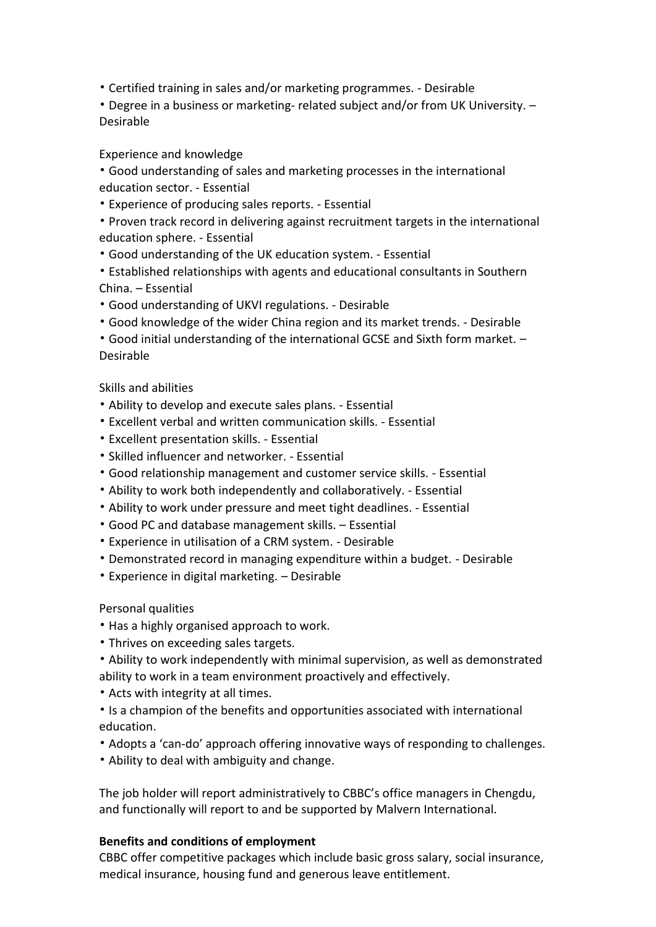- Certified training in sales and/or marketing programmes. Desirable
- Degree in a business or marketing- related subject and/or from UK University. Desirable

## Experience and knowledge

• Good understanding of sales and marketing processes in the international education sector. - Essential

• Experience of producing sales reports. - Essential

• Proven track record in delivering against recruitment targets in the international education sphere. - Essential

- Good understanding of the UK education system. Essential
- Established relationships with agents and educational consultants in Southern China. – Essential
- Good understanding of UKVI regulations. Desirable
- Good knowledge of the wider China region and its market trends. Desirable
- Good initial understanding of the international GCSE and Sixth form market. Desirable

### Skills and abilities

- Ability to develop and execute sales plans. Essential
- Excellent verbal and written communication skills. Essential
- Excellent presentation skills. Essential
- Skilled influencer and networker. Essential
- Good relationship management and customer service skills. Essential
- Ability to work both independently and collaboratively. Essential
- Ability to work under pressure and meet tight deadlines. Essential
- Good PC and database management skills. Essential
- Experience in utilisation of a CRM system. Desirable
- Demonstrated record in managing expenditure within a budget. Desirable
- Experience in digital marketing. Desirable

### Personal qualities

- Has a highly organised approach to work.
- Thrives on exceeding sales targets.
- Ability to work independently with minimal supervision, as well as demonstrated ability to work in a team environment proactively and effectively.
- Acts with integrity at all times.
- Is a champion of the benefits and opportunities associated with international education.
- Adopts a 'can-do' approach offering innovative ways of responding to challenges.
- Ability to deal with ambiguity and change.

The job holder will report administratively to CBBC's office managers in Chengdu, and functionally will report to and be supported by Malvern International.

### **Benefits and conditions of employment**

CBBC offer competitive packages which include basic gross salary, social insurance, medical insurance, housing fund and generous leave entitlement.